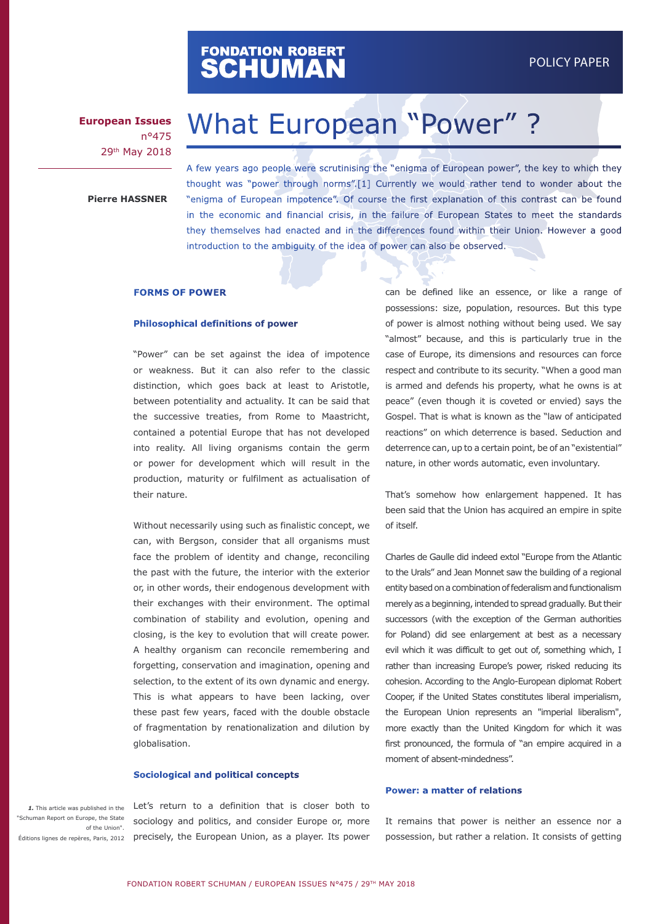# FONDATION ROBERT<br>**SCHUMAN**

**European Issues** n°475 29th May 2018

# What European "Power" ?

**Pierre HASSNER**

A few years ago people were scrutinising the "enigma of European power", the key to which they thought was "power through norms".[1] Currently we would rather tend to wonder about the "enigma of European impotence". Of course the first explanation of this contrast can be found in the economic and financial crisis, in the failure of European States to meet the standards they themselves had enacted and in the differences found within their Union. However a good introduction to the ambiguity of the idea of power can also be observed.

#### **FORMS OF POWER**

#### **Philosophical definitions of power**

"Power" can be set against the idea of impotence or weakness. But it can also refer to the classic distinction, which goes back at least to Aristotle, between potentiality and actuality. It can be said that the successive treaties, from Rome to Maastricht, contained a potential Europe that has not developed into reality. All living organisms contain the germ or power for development which will result in the production, maturity or fulfilment as actualisation of their nature.

Without necessarily using such as finalistic concept, we can, with Bergson, consider that all organisms must face the problem of identity and change, reconciling the past with the future, the interior with the exterior or, in other words, their endogenous development with their exchanges with their environment. The optimal combination of stability and evolution, opening and closing, is the key to evolution that will create power. A healthy organism can reconcile remembering and forgetting, conservation and imagination, opening and selection, to the extent of its own dynamic and energy. This is what appears to have been lacking, over these past few years, faced with the double obstacle of fragmentation by renationalization and dilution by globalisation.

#### **Sociological and political concepts**

*1.* This article was published in the "Schuman Report on Europe, the State of the Union". Éditions lignes de repères, Paris, 2012 Let's return to a definition that is closer both to sociology and politics, and consider Europe or, more precisely, the European Union, as a player. Its power can be defined like an essence, or like a range of possessions: size, population, resources. But this type of power is almost nothing without being used. We say "almost" because, and this is particularly true in the case of Europe, its dimensions and resources can force respect and contribute to its security. "When a good man is armed and defends his property, what he owns is at peace" (even though it is coveted or envied) says the Gospel. That is what is known as the "law of anticipated reactions" on which deterrence is based. Seduction and deterrence can, up to a certain point, be of an "existential" nature, in other words automatic, even involuntary.

That's somehow how enlargement happened. It has been said that the Union has acquired an empire in spite of itself.

Charles de Gaulle did indeed extol "Europe from the Atlantic to the Urals" and Jean Monnet saw the building of a regional entity based on a combination of federalism and functionalism merely as a beginning, intended to spread gradually. But their successors (with the exception of the German authorities for Poland) did see enlargement at best as a necessary evil which it was difficult to get out of, something which, I rather than increasing Europe's power, risked reducing its cohesion. According to the Anglo-European diplomat Robert Cooper, if the United States constitutes liberal imperialism, the European Union represents an "imperial liberalism", more exactly than the United Kingdom for which it was first pronounced, the formula of "an empire acquired in a moment of absent-mindedness".

#### **Power: a matter of relations**

It remains that power is neither an essence nor a possession, but rather a relation. It consists of getting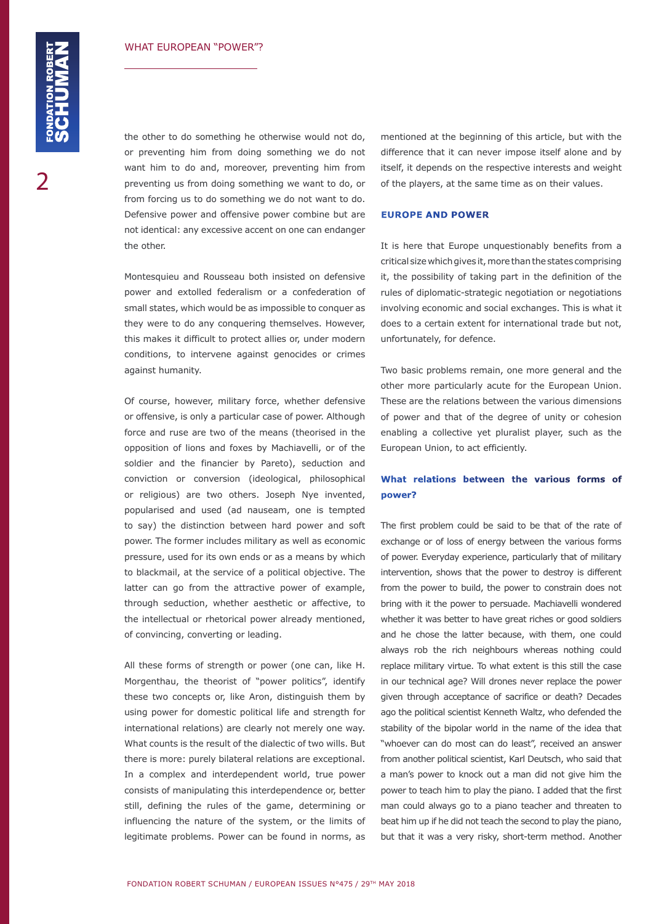the other to do something he otherwise would not do, or preventing him from doing something we do not want him to do and, moreover, preventing him from preventing us from doing something we want to do, or from forcing us to do something we do not want to do. Defensive power and offensive power combine but are not identical: any excessive accent on one can endanger the other.

Montesquieu and Rousseau both insisted on defensive power and extolled federalism or a confederation of small states, which would be as impossible to conquer as they were to do any conquering themselves. However, this makes it difficult to protect allies or, under modern conditions, to intervene against genocides or crimes against humanity.

Of course, however, military force, whether defensive or offensive, is only a particular case of power. Although force and ruse are two of the means (theorised in the opposition of lions and foxes by Machiavelli, or of the soldier and the financier by Pareto), seduction and conviction or conversion (ideological, philosophical or religious) are two others. Joseph Nye invented, popularised and used (ad nauseam, one is tempted to say) the distinction between hard power and soft power. The former includes military as well as economic pressure, used for its own ends or as a means by which to blackmail, at the service of a political objective. The latter can go from the attractive power of example, through seduction, whether aesthetic or affective, to the intellectual or rhetorical power already mentioned, of convincing, converting or leading.

All these forms of strength or power (one can, like H. Morgenthau, the theorist of "power politics", identify these two concepts or, like Aron, distinguish them by using power for domestic political life and strength for international relations) are clearly not merely one way. What counts is the result of the dialectic of two wills. But there is more: purely bilateral relations are exceptional. In a complex and interdependent world, true power consists of manipulating this interdependence or, better still, defining the rules of the game, determining or influencing the nature of the system, or the limits of legitimate problems. Power can be found in norms, as

mentioned at the beginning of this article, but with the difference that it can never impose itself alone and by itself, it depends on the respective interests and weight of the players, at the same time as on their values.

#### **EUROPE AND POWER**

It is here that Europe unquestionably benefits from a critical size which gives it, more than the states comprising it, the possibility of taking part in the definition of the rules of diplomatic-strategic negotiation or negotiations involving economic and social exchanges. This is what it does to a certain extent for international trade but not, unfortunately, for defence.

Two basic problems remain, one more general and the other more particularly acute for the European Union. These are the relations between the various dimensions of power and that of the degree of unity or cohesion enabling a collective yet pluralist player, such as the European Union, to act efficiently.

### **What relations between the various forms of power?**

The first problem could be said to be that of the rate of exchange or of loss of energy between the various forms of power. Everyday experience, particularly that of military intervention, shows that the power to destroy is different from the power to build, the power to constrain does not bring with it the power to persuade. Machiavelli wondered whether it was better to have great riches or good soldiers and he chose the latter because, with them, one could always rob the rich neighbours whereas nothing could replace military virtue. To what extent is this still the case in our technical age? Will drones never replace the power given through acceptance of sacrifice or death? Decades ago the political scientist Kenneth Waltz, who defended the stability of the bipolar world in the name of the idea that "whoever can do most can do least", received an answer from another political scientist, Karl Deutsch, who said that a man's power to knock out a man did not give him the power to teach him to play the piano. I added that the first man could always go to a piano teacher and threaten to beat him up if he did not teach the second to play the piano, but that it was a very risky, short-term method. Another

2